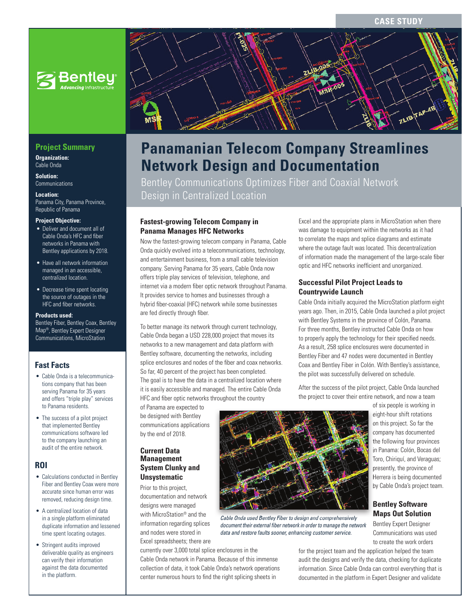#### **CASE STUD**



## **Project Summary**

**Organization:**  Cable Onda

**Solution: Communications** 

**Location:** 

Panama City, Panama Province, Republic of Panama

#### **Project Objective:**

- Deliver and document all of Cable Onda's HFC and fiber networks in Panama with Bentley applications by 2018.
- Have all network information managed in an accessible, centralized location.
- Decrease time spent locating the source of outages in the HFC and fiber networks.

#### **Products used:**

Bentley Fiber, Bentley Coax, Bentley Map®, Bentley Expert Designer Communications, MicroStation

#### **Fast Facts**

- Cable Onda is a telecommunications company that has been serving Panama for 35 years and offers "triple play" services to Panama residents.
- The success of a pilot project that implemented Bentley communications software led to the company launching an audit of the entire network.

#### **ROI**

- Calculations conducted in Bentley Fiber and Bentley Coax were more accurate since human error was removed, reducing design time.
- A centralized location of data in a single platform eliminated duplicate information and lessened time spent locating outages.
- Stringent audits improved deliverable quality as engineers can verify their information against the data documented in the platform.



# **Panamanian Telecom Company Streamlines Network Design and Documentation**

Bentley Communications Optimizes Fiber and Coaxial Network Design in Centralized Location

#### **Fastest-growing Telecom Company in Panama Manages HFC Networks**

Now the fastest-growing telecom company in Panama, Cable Onda quickly evolved into a telecommunications, technology, and entertainment business, from a small cable television company. Serving Panama for 35 years, Cable Onda now offers triple play services of television, telephone, and internet via a modern fiber optic network throughout Panama. It provides service to homes and businesses through a hybrid fiber-coaxial (HFC) network while some businesses are fed directly through fiber.

To better manage its network through current technology, Cable Onda began a USD 228,000 project that moves its networks to a new management and data platform with Bentley software, documenting the networks, including splice enclosures and nodes of the fiber and coax networks. So far, 40 percent of the project has been completed. The goal is to have the data in a centralized location where it is easily accessible and managed. The entire Cable Onda HFC and fiber optic networks throughout the country

of Panama are expected to be designed with Bentley communications applications by the end of 2018.

#### **Current Data Management System Clunky and Unsystematic**

Prior to this project, documentation and network designs were managed with MicroStation® and the information regarding splices and nodes were stored in Excel spreadsheets; there are

currently over 3,000 total splice enclosures in the Cable Onda network in Panama. Because of this immense collection of data, it took Cable Onda's network operations center numerous hours to find the right splicing sheets in

Excel and the appropriate plans in MicroStation when there was damage to equipment within the networks as it had to correlate the maps and splice diagrams and estimate where the outage fault was located. This decentralization of information made the management of the large-scale fiber optic and HFC networks inefficient and unorganized.

#### **Successful Pilot Project Leads to Countrywide Launch**

Cable Onda initially acquired the MicroStation platform eight years ago. Then, in 2015, Cable Onda launched a pilot project with Bentley Systems in the province of Colón, Panama. For three months, Bentley instructed Cable Onda on how to properly apply the technology for their specified needs. As a result, 258 splice enclosures were documented in Bentley Fiber and 47 nodes were documented in Bentley Coax and Bentley Fiber in Colón. With Bentley's assistance, the pilot was successfully delivered on schedule.

After the success of the pilot project, Cable Onda launched the project to cover their entire network, and now a team

> of six people is working in eight-hour shift rotations on this project. So far the company has documented the following four provinces in Panama: Colón, Bocas del Toro, Chiriquí, and Veraguas; presently, the province of Herrera is being documented by Cable Onda's project team.

### **Bentley Software Maps Out Solution**

Bentley Expert Designer Communications was used to create the work orders

for the project team and the application helped the team audit the designs and verify the data, checking for duplicate information. Since Cable Onda can control everything that is documented in the platform in Expert Designer and validate



*Cable Onda used Bentley Fiber to design and comprehensively document their external fi ber network in order to manage the network data and restore faults sooner, enhancing customer service.*